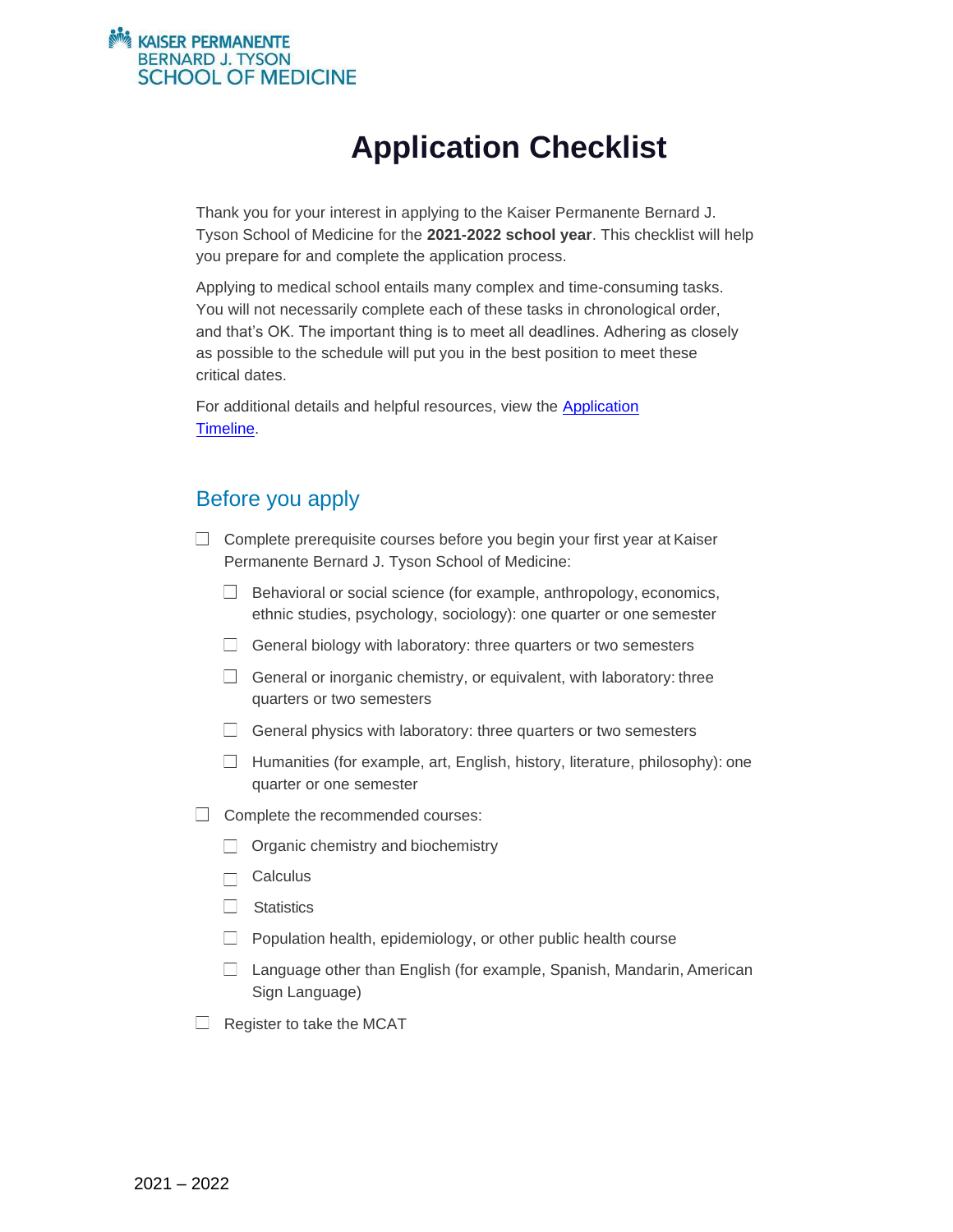#### **KAISER PERMANENTE BERNARD J. TYSON SCHOOL OF MEDICINE**

# **Application Checklist**

Thank you for your interest in applying to the Kaiser Permanente Bernard J. Tyson School of Medicine for the **2021-2022 school year**. This checklist will help you prepare for and complete the application process.

Applying to medical school entails many complex and time-consuming tasks. You will not necessarily complete each of these tasks in chronological order, and that's OK. The important thing is to meet all deadlines. Adhering as closely as possible to the schedule will put you in the best position to meet these critical dates.

For additional details and helpful resources, view the [Application](https://medschool.kp.org/admissions/application-timeline) [Timeline.](https://medschool.kp.org/admissions/application-timeline)

## Before you apply

- $\Box$  Complete prerequisite courses before you begin your first year at Kaiser Permanente Bernard J. Tyson School of Medicine:
	- $\Box$  Behavioral or social science (for example, anthropology, economics, ethnic studies, psychology, sociology): one quarter or one semester
	- $\Box$  General biology with laboratory: three quarters or two semesters
	- $\Box$  General or inorganic chemistry, or equivalent, with laboratory: three quarters or two semesters
	- $\Box$  General physics with laboratory: three quarters or two semesters
	- $\Box$  Humanities (for example, art, English, history, literature, philosophy): one quarter or one semester
- $\Box$  Complete the recommended courses:
	- $\Box$  Organic chemistry and biochemistry
	- **Calculus**  $\Box$
	- $\Box$  Statistics
	- $\Box$  Population health, epidemiology, or other public health course
	- $\Box$  Language other than English (for example, Spanish, Mandarin, American Sign Language)
- $\Box$  Register to take the MCAT